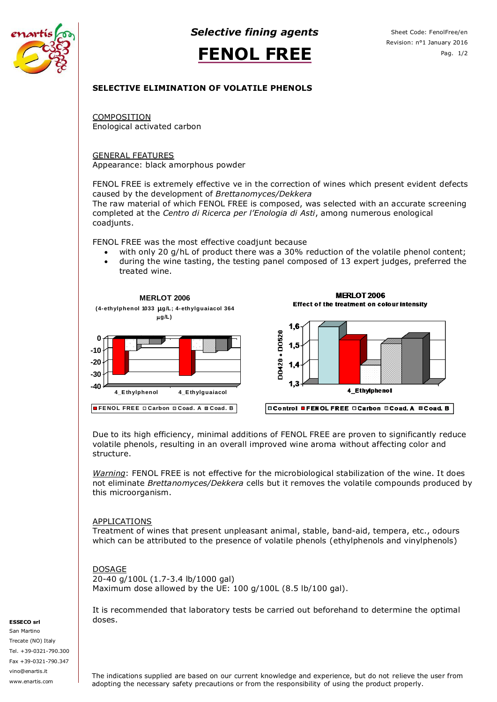

*Selective fining agents*



## **SELECTIVE ELIMINATION OF VOLATILE PHENOLS**

**COMPOSITION** Enological activated carbon

GENERAL FEATURES Appearance: black amorphous powder

FENOL FREE is extremely effective ve in the correction of wines which present evident defects caused by the development of *Brettanomyces/Dekkera*

The raw material of which FENOL FREE is composed, was selected with an accurate screening completed at the *Centro di Ricerca per l'Enologia di Asti*, among numerous enological coadjunts.

FENOL FREE was the most effective coadjunt because

- with only 20 g/hL of product there was a 30% reduction of the volatile phenol content;
- during the wine tasting, the testing panel composed of 13 expert judges, preferred the treated wine.



Due to its high efficiency, minimal additions of FENOL FREE are proven to significantly reduce volatile phenols, resulting in an overall improved wine aroma without affecting color and structure.

*Warning*: FENOL FREE is not effective for the microbiological stabilization of the wine. It does not eliminate *Brettanomyces/Dekkera* cells but it removes the volatile compounds produced by this microorganism.

## APPLICATIONS

Treatment of wines that present unpleasant animal, stable, band-aid, tempera, etc., odours which can be attributed to the presence of volatile phenols (ethylphenols and vinylphenols)

## **DOSAGE**

20-40 g/100L (1.7-3.4 lb/1000 gal) Maximum dose allowed by the UE: 100 g/100L (8.5 lb/100 gal).

It is recommended that laboratory tests be carried out beforehand to determine the optimal doses.

### **ESSECO srl**

San Martino Trecate (NO) Italy Tel. +39-0321-790.300 Fax +39-0321-790.347 vino@enartis.it www.enartis.com